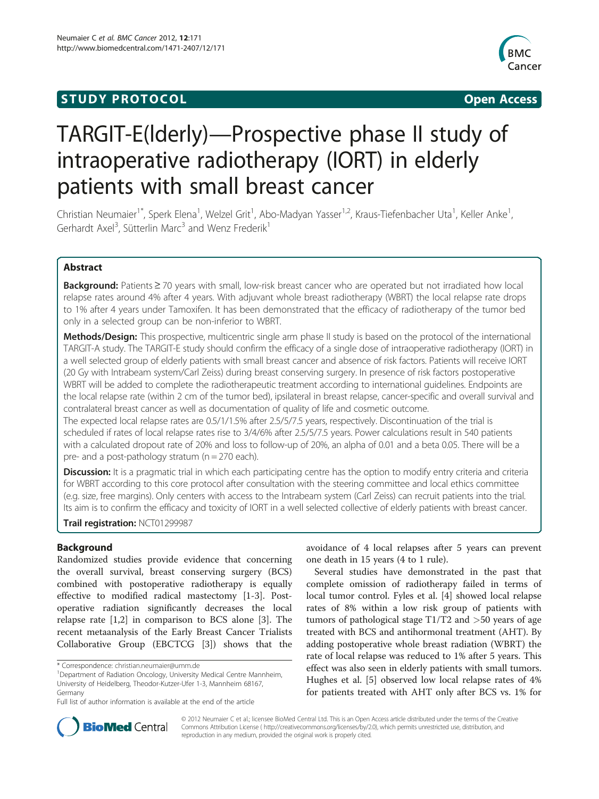# **STUDY PROTOCOL CONSUMING THE CONSUMING OPEN ACCESS**



# TARGIT-E(lderly)—Prospective phase II study of intraoperative radiotherapy (IORT) in elderly patients with small breast cancer

Christian Neumaier<sup>1\*</sup>, Sperk Elena<sup>1</sup>, Welzel Grit<sup>1</sup>, Abo-Madyan Yasser<sup>1,2</sup>, Kraus-Tiefenbacher Uta<sup>1</sup>, Keller Anke<sup>1</sup> , Gerhardt Axel<sup>3</sup>, Sütterlin Marc<sup>3</sup> and Wenz Frederik<sup>1</sup>

# Abstract

Background: Patients ≥ 70 years with small, low-risk breast cancer who are operated but not irradiated how local relapse rates around 4% after 4 years. With adjuvant whole breast radiotherapy (WBRT) the local relapse rate drops to 1% after 4 years under Tamoxifen. It has been demonstrated that the efficacy of radiotherapy of the tumor bed only in a selected group can be non-inferior to WBRT.

Methods/Design: This prospective, multicentric single arm phase II study is based on the protocol of the international TARGIT-A study. The TARGIT-E study should confirm the efficacy of a single dose of intraoperative radiotherapy (IORT) in a well selected group of elderly patients with small breast cancer and absence of risk factors. Patients will receive IORT (20 Gy with Intrabeam system/Carl Zeiss) during breast conserving surgery. In presence of risk factors postoperative WBRT will be added to complete the radiotherapeutic treatment according to international guidelines. Endpoints are the local relapse rate (within 2 cm of the tumor bed), ipsilateral in breast relapse, cancer-specific and overall survival and contralateral breast cancer as well as documentation of quality of life and cosmetic outcome.

The expected local relapse rates are 0.5/1/1.5% after 2.5/5/7.5 years, respectively. Discontinuation of the trial is scheduled if rates of local relapse rates rise to 3/4/6% after 2.5/5/7.5 years. Power calculations result in 540 patients with a calculated dropout rate of 20% and loss to follow-up of 20%, an alpha of 0.01 and a beta 0.05. There will be a pre- and a post-pathology stratum (n = 270 each).

Discussion: It is a pragmatic trial in which each participating centre has the option to modify entry criteria and criteria for WBRT according to this core protocol after consultation with the steering committee and local ethics committee (e.g. size, free margins). Only centers with access to the Intrabeam system (Carl Zeiss) can recruit patients into the trial. Its aim is to confirm the efficacy and toxicity of IORT in a well selected collective of elderly patients with breast cancer.

Trail registration: NCT01299987

# Background

Randomized studies provide evidence that concerning the overall survival, breast conserving surgery (BCS) combined with postoperative radiotherapy is equally effective to modified radical mastectomy [[1](#page-5-0)[-3](#page-6-0)]. Postoperative radiation significantly decreases the local relapse rate [\[1,2](#page-5-0)] in comparison to BCS alone [[3\]](#page-6-0). The recent metaanalysis of the Early Breast Cancer Trialists Collaborative Group (EBCTCG [[3\]](#page-6-0)) shows that the avoidance of 4 local relapses after 5 years can prevent one death in 15 years (4 to 1 rule).

Several studies have demonstrated in the past that complete omission of radiotherapy failed in terms of local tumor control. Fyles et al. [[4\]](#page-6-0) showed local relapse rates of 8% within a low risk group of patients with tumors of pathological stage  $T1/T2$  and  $>50$  years of age treated with BCS and antihormonal treatment (AHT). By adding postoperative whole breast radiation (WBRT) the rate of local relapse was reduced to 1% after 5 years. This effect was also seen in elderly patients with small tumors. Hughes et al. [[5\]](#page-6-0) observed low local relapse rates of 4% for patients treated with AHT only after BCS vs. 1% for



© 2012 Neumaier C et al.; licensee BioMed Central Ltd. This is an Open Access article distributed under the terms of the Creative Commons Attribution License ( http://creativecommons.org/licenses/by/2.0), which permits unrestricted use, distribution, and reproduction in any medium, provided the original work is properly cited.

<sup>\*</sup> Correspondence: [christian.neumaier@umm.de](mailto:christian.neumaier@umm.de) <sup>1</sup>

<sup>&</sup>lt;sup>1</sup>Department of Radiation Oncology, University Medical Centre Mannheim, University of Heidelberg, Theodor-Kutzer-Ufer 1-3, Mannheim 68167, Germany

Full list of author information is available at the end of the article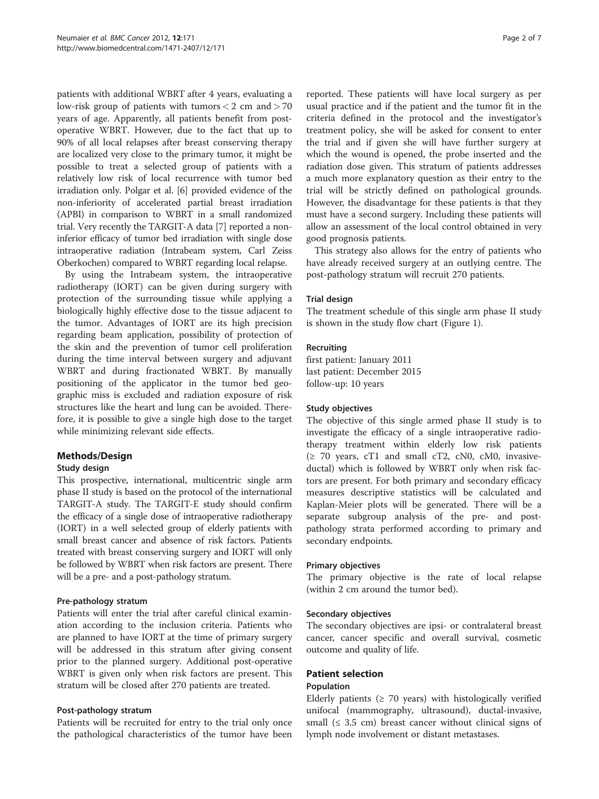patients with additional WBRT after 4 years, evaluating a low-risk group of patients with tumors  $<$  2 cm and  $>$  70 years of age. Apparently, all patients benefit from postoperative WBRT. However, due to the fact that up to 90% of all local relapses after breast conserving therapy are localized very close to the primary tumor, it might be possible to treat a selected group of patients with a relatively low risk of local recurrence with tumor bed irradiation only. Polgar et al. [\[6\]](#page-6-0) provided evidence of the non-inferiority of accelerated partial breast irradiation (APBI) in comparison to WBRT in a small randomized trial. Very recently the TARGIT-A data [\[7](#page-6-0)] reported a noninferior efficacy of tumor bed irradiation with single dose intraoperative radiation (Intrabeam system, Carl Zeiss Oberkochen) compared to WBRT regarding local relapse.

By using the Intrabeam system, the intraoperative radiotherapy (IORT) can be given during surgery with protection of the surrounding tissue while applying a biologically highly effective dose to the tissue adjacent to the tumor. Advantages of IORT are its high precision regarding beam application, possibility of protection of the skin and the prevention of tumor cell proliferation during the time interval between surgery and adjuvant WBRT and during fractionated WBRT. By manually positioning of the applicator in the tumor bed geographic miss is excluded and radiation exposure of risk structures like the heart and lung can be avoided. Therefore, it is possible to give a single high dose to the target while minimizing relevant side effects.

#### Methods/Design

#### Study design

This prospective, international, multicentric single arm phase II study is based on the protocol of the international TARGIT-A study. The TARGIT-E study should confirm the efficacy of a single dose of intraoperative radiotherapy (IORT) in a well selected group of elderly patients with small breast cancer and absence of risk factors. Patients treated with breast conserving surgery and IORT will only be followed by WBRT when risk factors are present. There will be a pre- and a post-pathology stratum.

#### Pre-pathology stratum

Patients will enter the trial after careful clinical examination according to the inclusion criteria. Patients who are planned to have IORT at the time of primary surgery will be addressed in this stratum after giving consent prior to the planned surgery. Additional post-operative WBRT is given only when risk factors are present. This stratum will be closed after 270 patients are treated.

#### Post-pathology stratum

Patients will be recruited for entry to the trial only once the pathological characteristics of the tumor have been reported. These patients will have local surgery as per usual practice and if the patient and the tumor fit in the criteria defined in the protocol and the investigator's treatment policy, she will be asked for consent to enter the trial and if given she will have further surgery at which the wound is opened, the probe inserted and the radiation dose given. This stratum of patients addresses a much more explanatory question as their entry to the trial will be strictly defined on pathological grounds. However, the disadvantage for these patients is that they must have a second surgery. Including these patients will allow an assessment of the local control obtained in very good prognosis patients.

This strategy also allows for the entry of patients who have already received surgery at an outlying centre. The post-pathology stratum will recruit 270 patients.

#### Trial design

The treatment schedule of this single arm phase II study is shown in the study flow chart (Figure [1](#page-2-0)).

#### Recruiting

first patient: January 2011 last patient: December 2015 follow-up: 10 years

#### Study objectives

The objective of this single armed phase II study is to investigate the efficacy of a single intraoperative radiotherapy treatment within elderly low risk patients  $(\geq 70$  years, cT1 and small cT2, cN0, cM0, invasiveductal) which is followed by WBRT only when risk factors are present. For both primary and secondary efficacy measures descriptive statistics will be calculated and Kaplan-Meier plots will be generated. There will be a separate subgroup analysis of the pre- and postpathology strata performed according to primary and secondary endpoints.

#### Primary objectives

The primary objective is the rate of local relapse (within 2 cm around the tumor bed).

#### Secondary objectives

The secondary objectives are ipsi- or contralateral breast cancer, cancer specific and overall survival, cosmetic outcome and quality of life.

#### Patient selection

#### Population

Elderly patients ( $\geq$  70 years) with histologically verified unifocal (mammography, ultrasound), ductal-invasive, small  $(≤ 3.5 cm)$  breast cancer without clinical signs of lymph node involvement or distant metastases.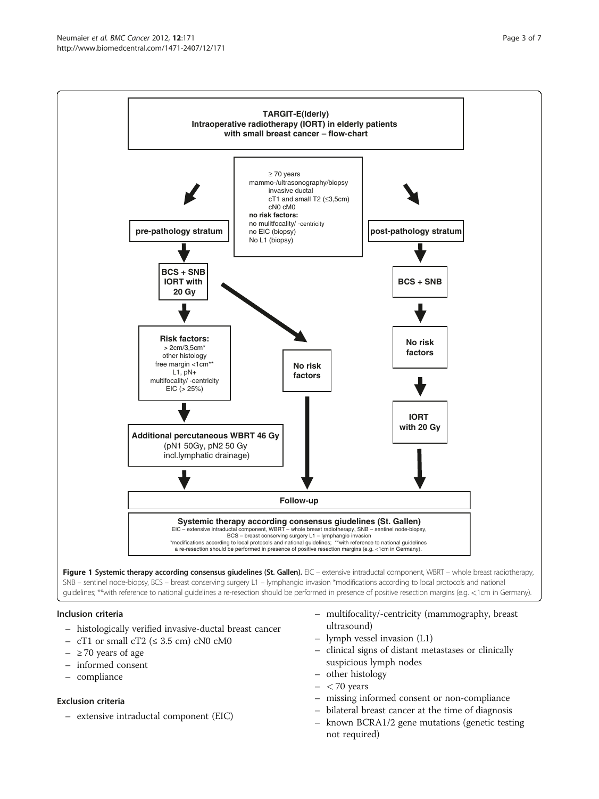<span id="page-2-0"></span>

SNB – sentinel node-biopsy, BCS – breast conserving surgery L1 – lymphangio invasion \*modifications according to local protocols and national guidelines; \*\*with reference to national guidelines a re-resection should be performed in presence of positive resection margins (e.g. <1cm in Germany).

#### Inclusion criteria

- histologically verified invasive-ductal breast cancer
- cT1 or small cT2 ( $\leq$  3.5 cm) cN0 cM0
- ≥ 70 years of age
- informed consent
- compliance

#### Exclusion criteria

– extensive intraductal component (EIC)

- multifocality/-centricity (mammography, breast ultrasound)
- lymph vessel invasion (L1)
- clinical signs of distant metastases or clinically suspicious lymph nodes
- other histology
- $< 70$  years
- missing informed consent or non-compliance
- bilateral breast cancer at the time of diagnosis
- known BCRA1/2 gene mutations (genetic testing not required)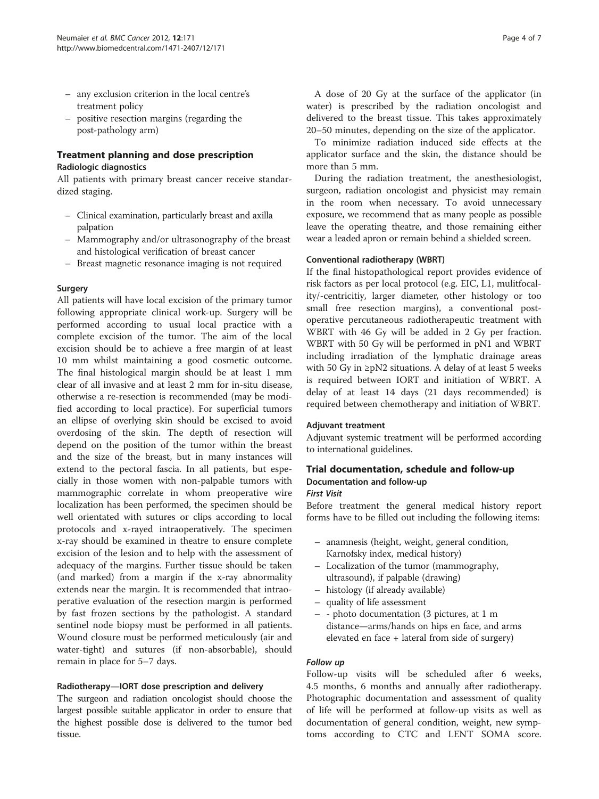- any exclusion criterion in the local centre's treatment policy
- positive resection margins (regarding the post-pathology arm)

### Treatment planning and dose prescription Radiologic diagnostics

All patients with primary breast cancer receive standardized staging.

- Clinical examination, particularly breast and axilla palpation
- Mammography and/or ultrasonography of the breast and histological verification of breast cancer
- Breast magnetic resonance imaging is not required

#### Surgery

All patients will have local excision of the primary tumor following appropriate clinical work-up. Surgery will be performed according to usual local practice with a complete excision of the tumor. The aim of the local excision should be to achieve a free margin of at least 10 mm whilst maintaining a good cosmetic outcome. The final histological margin should be at least 1 mm clear of all invasive and at least 2 mm for in-situ disease, otherwise a re-resection is recommended (may be modified according to local practice). For superficial tumors an ellipse of overlying skin should be excised to avoid overdosing of the skin. The depth of resection will depend on the position of the tumor within the breast and the size of the breast, but in many instances will extend to the pectoral fascia. In all patients, but especially in those women with non-palpable tumors with mammographic correlate in whom preoperative wire localization has been performed, the specimen should be well orientated with sutures or clips according to local protocols and x-rayed intraoperatively. The specimen x-ray should be examined in theatre to ensure complete excision of the lesion and to help with the assessment of adequacy of the margins. Further tissue should be taken (and marked) from a margin if the x-ray abnormality extends near the margin. It is recommended that intraoperative evaluation of the resection margin is performed by fast frozen sections by the pathologist. A standard sentinel node biopsy must be performed in all patients. Wound closure must be performed meticulously (air and water-tight) and sutures (if non-absorbable), should remain in place for 5–7 days.

#### Radiotherapy—IORT dose prescription and delivery

The surgeon and radiation oncologist should choose the largest possible suitable applicator in order to ensure that the highest possible dose is delivered to the tumor bed tissue.

A dose of 20 Gy at the surface of the applicator (in water) is prescribed by the radiation oncologist and delivered to the breast tissue. This takes approximately 20–50 minutes, depending on the size of the applicator.

To minimize radiation induced side effects at the applicator surface and the skin, the distance should be more than 5 mm.

During the radiation treatment, the anesthesiologist, surgeon, radiation oncologist and physicist may remain in the room when necessary. To avoid unnecessary exposure, we recommend that as many people as possible leave the operating theatre, and those remaining either wear a leaded apron or remain behind a shielded screen.

#### Conventional radiotherapy (WBRT)

If the final histopathological report provides evidence of risk factors as per local protocol (e.g. EIC, L1, mulitfocality/-centricitiy, larger diameter, other histology or too small free resection margins), a conventional postoperative percutaneous radiotherapeutic treatment with WBRT with 46 Gy will be added in 2 Gy per fraction. WBRT with 50 Gy will be performed in pN1 and WBRT including irradiation of the lymphatic drainage areas with 50 Gy in  $\geq pN2$  situations. A delay of at least 5 weeks is required between IORT and initiation of WBRT. A delay of at least 14 days (21 days recommended) is required between chemotherapy and initiation of WBRT.

#### Adjuvant treatment

Adjuvant systemic treatment will be performed according to international guidelines.

#### Trial documentation, schedule and follow-up Documentation and follow-up First Visit

Before treatment the general medical history report forms have to be filled out including the following items:

- anamnesis (height, weight, general condition, Karnofsky index, medical history)
- Localization of the tumor (mammography, ultrasound), if palpable (drawing)
- histology (if already available)
- quality of life assessment
- - photo documentation (3 pictures, at 1 m distance—arms/hands on hips en face, and arms elevated en face + lateral from side of surgery)

#### Follow up

Follow-up visits will be scheduled after 6 weeks, 4.5 months, 6 months and annually after radiotherapy. Photographic documentation and assessment of quality of life will be performed at follow-up visits as well as documentation of general condition, weight, new symptoms according to CTC and LENT SOMA score.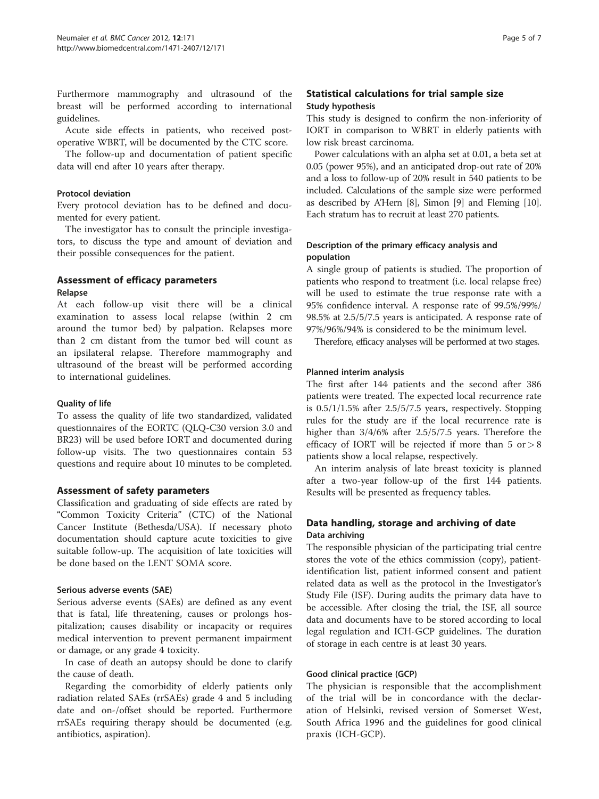Furthermore mammography and ultrasound of the breast will be performed according to international guidelines.

Acute side effects in patients, who received postoperative WBRT, will be documented by the CTC score.

The follow-up and documentation of patient specific data will end after 10 years after therapy.

#### Protocol deviation

Every protocol deviation has to be defined and documented for every patient.

The investigator has to consult the principle investigators, to discuss the type and amount of deviation and their possible consequences for the patient.

# Assessment of efficacy parameters

#### Relapse

At each follow-up visit there will be a clinical examination to assess local relapse (within 2 cm around the tumor bed) by palpation. Relapses more than 2 cm distant from the tumor bed will count as an ipsilateral relapse. Therefore mammography and ultrasound of the breast will be performed according to international guidelines.

#### Quality of life

To assess the quality of life two standardized, validated questionnaires of the EORTC (QLQ-C30 version 3.0 and BR23) will be used before IORT and documented during follow-up visits. The two questionnaires contain 53 questions and require about 10 minutes to be completed.

#### Assessment of safety parameters

Classification and graduating of side effects are rated by "Common Toxicity Criteria" (CTC) of the National Cancer Institute (Bethesda/USA). If necessary photo documentation should capture acute toxicities to give suitable follow-up. The acquisition of late toxicities will be done based on the LENT SOMA score.

#### Serious adverse events (SAE)

Serious adverse events (SAEs) are defined as any event that is fatal, life threatening, causes or prolongs hospitalization; causes disability or incapacity or requires medical intervention to prevent permanent impairment or damage, or any grade 4 toxicity.

In case of death an autopsy should be done to clarify the cause of death.

Regarding the comorbidity of elderly patients only radiation related SAEs (rrSAEs) grade 4 and 5 including date and on-/offset should be reported. Furthermore rrSAEs requiring therapy should be documented (e.g. antibiotics, aspiration).

# Statistical calculations for trial sample size Study hypothesis

This study is designed to confirm the non-inferiority of IORT in comparison to WBRT in elderly patients with low risk breast carcinoma.

Power calculations with an alpha set at 0.01, a beta set at 0.05 (power 95%), and an anticipated drop-out rate of 20% and a loss to follow-up of 20% result in 540 patients to be included. Calculations of the sample size were performed as described by A'Hern [\[8](#page-6-0)], Simon [\[9\]](#page-6-0) and Fleming [[10](#page-6-0)]. Each stratum has to recruit at least 270 patients.

### Description of the primary efficacy analysis and population

A single group of patients is studied. The proportion of patients who respond to treatment (i.e. local relapse free) will be used to estimate the true response rate with a 95% confidence interval. A response rate of 99.5%/99%/ 98.5% at 2.5/5/7.5 years is anticipated. A response rate of 97%/96%/94% is considered to be the minimum level.

Therefore, efficacy analyses will be performed at two stages.

### Planned interim analysis

The first after 144 patients and the second after 386 patients were treated. The expected local recurrence rate is 0.5/1/1.5% after 2.5/5/7.5 years, respectively. Stopping rules for the study are if the local recurrence rate is higher than 3/4/6% after 2.5/5/7.5 years. Therefore the efficacy of IORT will be rejected if more than  $5 \text{ or } > 8$ patients show a local relapse, respectively.

An interim analysis of late breast toxicity is planned after a two-year follow-up of the first 144 patients. Results will be presented as frequency tables.

# Data handling, storage and archiving of date Data archiving

The responsible physician of the participating trial centre stores the vote of the ethics commission (copy), patientidentification list, patient informed consent and patient related data as well as the protocol in the Investigator's Study File (ISF). During audits the primary data have to be accessible. After closing the trial, the ISF, all source data and documents have to be stored according to local legal regulation and ICH-GCP guidelines. The duration of storage in each centre is at least 30 years.

#### Good clinical practice (GCP)

The physician is responsible that the accomplishment of the trial will be in concordance with the declaration of Helsinki, revised version of Somerset West, South Africa 1996 and the guidelines for good clinical praxis (ICH-GCP).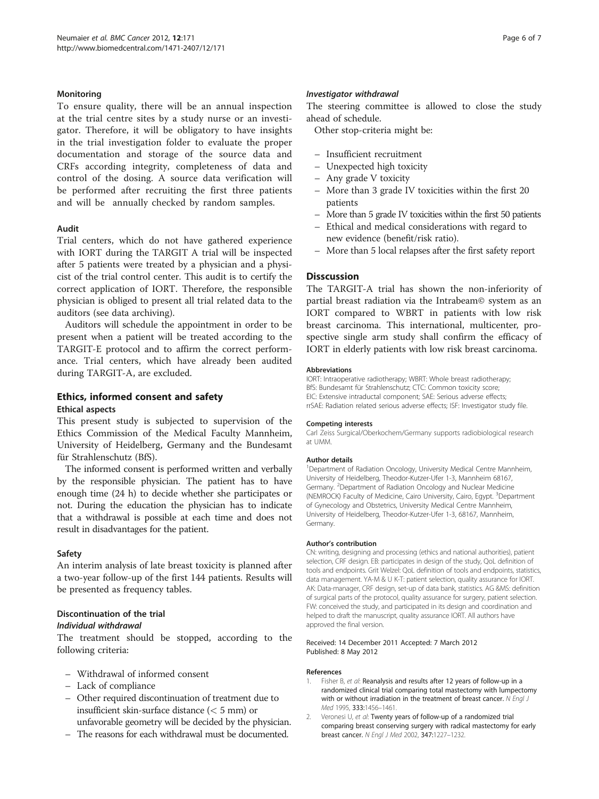#### <span id="page-5-0"></span>Monitoring

To ensure quality, there will be an annual inspection at the trial centre sites by a study nurse or an investigator. Therefore, it will be obligatory to have insights in the trial investigation folder to evaluate the proper documentation and storage of the source data and CRFs according integrity, completeness of data and control of the dosing. A source data verification will be performed after recruiting the first three patients and will be annually checked by random samples.

#### Audit

Trial centers, which do not have gathered experience with IORT during the TARGIT A trial will be inspected after 5 patients were treated by a physician and a physicist of the trial control center. This audit is to certify the correct application of IORT. Therefore, the responsible physician is obliged to present all trial related data to the auditors (see data archiving).

Auditors will schedule the appointment in order to be present when a patient will be treated according to the TARGIT-E protocol and to affirm the correct performance. Trial centers, which have already been audited during TARGIT-A, are excluded.

# Ethics, informed consent and safety Ethical aspects

This present study is subjected to supervision of the Ethics Commission of the Medical Faculty Mannheim, University of Heidelberg, Germany and the Bundesamt für Strahlenschutz (BfS).

The informed consent is performed written and verbally by the responsible physician. The patient has to have enough time (24 h) to decide whether she participates or not. During the education the physician has to indicate that a withdrawal is possible at each time and does not result in disadvantages for the patient.

#### Safety

An interim analysis of late breast toxicity is planned after a two-year follow-up of the first 144 patients. Results will be presented as frequency tables.

#### Discontinuation of the trial

#### Individual withdrawal

The treatment should be stopped, according to the following criteria:

- Withdrawal of informed consent
- Lack of compliance
- Other required discontinuation of treatment due to insufficient skin-surface distance (< 5 mm) or unfavorable geometry will be decided by the physician.
- The reasons for each withdrawal must be documented.

#### Investigator withdrawal

The steering committee is allowed to close the study ahead of schedule.

Other stop-criteria might be:

- Insufficient recruitment
- Unexpected high toxicity
- Any grade V toxicity
- More than 3 grade IV toxicities within the first 20 patients
- More than 5 grade IV toxicities within the first 50 patients
- Ethical and medical considerations with regard to new evidence (benefit/risk ratio).
- More than 5 local relapses after the first safety report

#### **Disscussion**

The TARGIT-A trial has shown the non-inferiority of partial breast radiation via the Intrabeam© system as an IORT compared to WBRT in patients with low risk breast carcinoma. This international, multicenter, prospective single arm study shall confirm the efficacy of IORT in elderly patients with low risk breast carcinoma.

#### Abbreviations

IORT: Intraoperative radiotherapy; WBRT: Whole breast radiotherapy; BfS: Bundesamt für Strahlenschutz; CTC: Common toxicity score; EIC: Extensive intraductal component; SAE: Serious adverse effects; rrSAE: Radiation related serious adverse effects; ISF: Investigator study file.

#### Competing interests

Carl Zeiss Surgical/Oberkochem/Germany supports radiobiological research at UMM.

#### Author details

<sup>1</sup> Department of Radiation Oncology, University Medical Centre Mannheim, University of Heidelberg, Theodor-Kutzer-Ufer 1-3, Mannheim 68167, Germany. <sup>2</sup>Department of Radiation Oncology and Nuclear Medicine (NEMROCK) Faculty of Medicine, Cairo University, Cairo, Egypt. <sup>3</sup>Department of Gynecology and Obstetrics, University Medical Centre Mannheim, University of Heidelberg, Theodor-Kutzer-Ufer 1-3, 68167, Mannheim, Germany.

#### Author's contribution

CN: writing, designing and processing (ethics and national authorities), patient selection, CRF design. EB: participates in design of the study, QoL definition of tools and endpoints. Grit Welzel: QoL definition of tools and endpoints, statistics, data management. YA-M & U K-T: patient selection, quality assurance for IORT. AK: Data-manager, CRF design, set-up of data bank, statistics. AG &MS: definition of surgical parts of the protocol, quality assurance for surgery, patient selection. FW: conceived the study, and participated in its design and coordination and helped to draft the manuscript, quality assurance IORT. All authors have approved the final version.

#### Received: 14 December 2011 Accepted: 7 March 2012 Published: 8 May 2012

#### References

- Fisher B, et al: Reanalysis and results after 12 years of follow-up in a randomized clinical trial comparing total mastectomy with lumpectomy with or without irradiation in the treatment of breast cancer. N Engl J Med 1995, 333:1456–1461.
- 2. Veronesi U, et al: Twenty years of follow-up of a randomized trial comparing breast conserving surgery with radical mastectomy for early breast cancer. N Engl J Med 2002, 347:1227–1232.